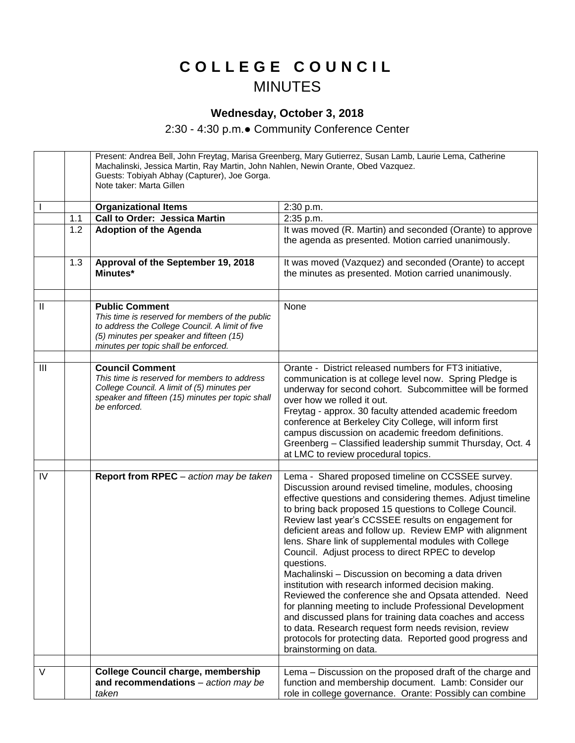## **C O L L E G E C O U N C I L** MINUTES

## **Wednesday, October 3, 2018**

2:30 - 4:30 p.m.● Community Conference Center

Present: Andrea Bell, John Freytag, Marisa Greenberg, Mary Gutierrez, Susan Lamb, Laurie Lema, Catherine Machalinski, Jessica Martin, Ray Martin, John Nahlen, Newin Orante, Obed Vazquez. Guests: Tobiyah Abhay (Capturer), Joe Gorga. Note taker: Marta Gillen **Organizational Items** 2:30 p.m. 1.1 | Call to Order: Jessica Martin | 2:35 p.m. 1.2 **Adoption of the Agenda It was moved (R. Martin) and seconded (Orante) to approve** the agenda as presented. Motion carried unanimously. 1.3 **Approval of the September 19, 2018 Minutes\*** It was moved (Vazquez) and seconded (Orante) to accept the minutes as presented. Motion carried unanimously. II **Public Comment** *This time is reserved for members of the public to address the College Council. A limit of five (5) minutes per speaker and fifteen (15) minutes per topic shall be enforced.*  None III **Council Comment** *This time is reserved for members to address College Council. A limit of (5) minutes per speaker and fifteen (15) minutes per topic shall be enforced.* Orante - District released numbers for FT3 initiative, communication is at college level now. Spring Pledge is underway for second cohort. Subcommittee will be formed over how we rolled it out. Freytag - approx. 30 faculty attended academic freedom conference at Berkeley City College, will inform first campus discussion on academic freedom definitions. Greenberg – Classified leadership summit Thursday, Oct. 4 at LMC to review procedural topics. IV **Report from RPEC** – *action may be taken* Lema - Shared proposed timeline on CCSSEE survey. Discussion around revised timeline, modules, choosing effective questions and considering themes. Adjust timeline to bring back proposed 15 questions to College Council. Review last year's CCSSEE results on engagement for deficient areas and follow up. Review EMP with alignment lens. Share link of supplemental modules with College Council. Adjust process to direct RPEC to develop questions. Machalinski – Discussion on becoming a data driven institution with research informed decision making. Reviewed the conference she and Opsata attended. Need for planning meeting to include Professional Development and discussed plans for training data coaches and access to data. Research request form needs revision, review protocols for protecting data. Reported good progress and brainstorming on data. V **College Council charge, membership and recommendations** – *action may be taken* Lema – Discussion on the proposed draft of the charge and function and membership document. Lamb: Consider our role in college governance. Orante: Possibly can combine